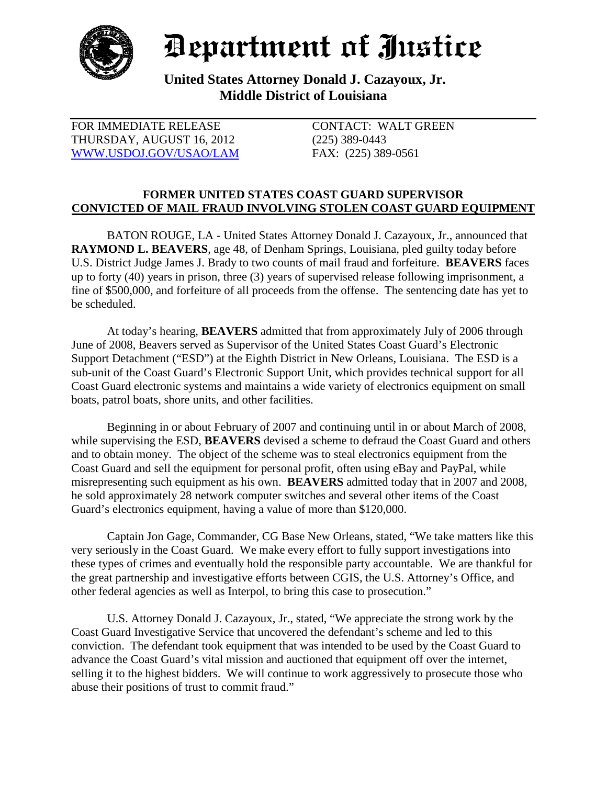

## Department of Justice

**United States Attorney Donald J. Cazayoux, Jr. Middle District of Louisiana**

| FOR IMMEDIATE RELEASE     |
|---------------------------|
| THURSDAY, AUGUST 16, 2012 |
| WWW.USDOJ.GOV/USAO/LAM    |

CONTACT: WALT GREEN  $(225)$  389-0443 FAX: (225) 389-0561

## **FORMER UNITED STATES COAST GUARD SUPERVISOR CONVICTED OF MAIL FRAUD INVOLVING STOLEN COAST GUARD EQUIPMENT**

BATON ROUGE, LA - United States Attorney Donald J. Cazayoux, Jr., announced that **RAYMOND L. BEAVERS**, age 48, of Denham Springs, Louisiana, pled guilty today before U.S. District Judge James J. Brady to two counts of mail fraud and forfeiture. **BEAVERS** faces up to forty (40) years in prison, three (3) years of supervised release following imprisonment, a fine of \$500,000, and forfeiture of all proceeds from the offense. The sentencing date has yet to be scheduled.

At today's hearing, **BEAVERS** admitted that from approximately July of 2006 through June of 2008, Beavers served as Supervisor of the United States Coast Guard's Electronic Support Detachment ("ESD") at the Eighth District in New Orleans, Louisiana. The ESD is a sub-unit of the Coast Guard's Electronic Support Unit, which provides technical support for all Coast Guard electronic systems and maintains a wide variety of electronics equipment on small boats, patrol boats, shore units, and other facilities.

Beginning in or about February of 2007 and continuing until in or about March of 2008, while supervising the ESD, **BEAVERS** devised a scheme to defraud the Coast Guard and others and to obtain money. The object of the scheme was to steal electronics equipment from the Coast Guard and sell the equipment for personal profit, often using eBay and PayPal, while misrepresenting such equipment as his own. **BEAVERS** admitted today that in 2007 and 2008, he sold approximately 28 network computer switches and several other items of the Coast Guard's electronics equipment, having a value of more than \$120,000.

Captain Jon Gage, Commander, CG Base New Orleans, stated, "We take matters like this very seriously in the Coast Guard. We make every effort to fully support investigations into these types of crimes and eventually hold the responsible party accountable. We are thankful for the great partnership and investigative efforts between CGIS, the U.S. Attorney's Office, and other federal agencies as well as Interpol, to bring this case to prosecution."

U.S. Attorney Donald J. Cazayoux, Jr., stated, "We appreciate the strong work by the Coast Guard Investigative Service that uncovered the defendant's scheme and led to this conviction. The defendant took equipment that was intended to be used by the Coast Guard to advance the Coast Guard's vital mission and auctioned that equipment off over the internet, selling it to the highest bidders. We will continue to work aggressively to prosecute those who abuse their positions of trust to commit fraud."